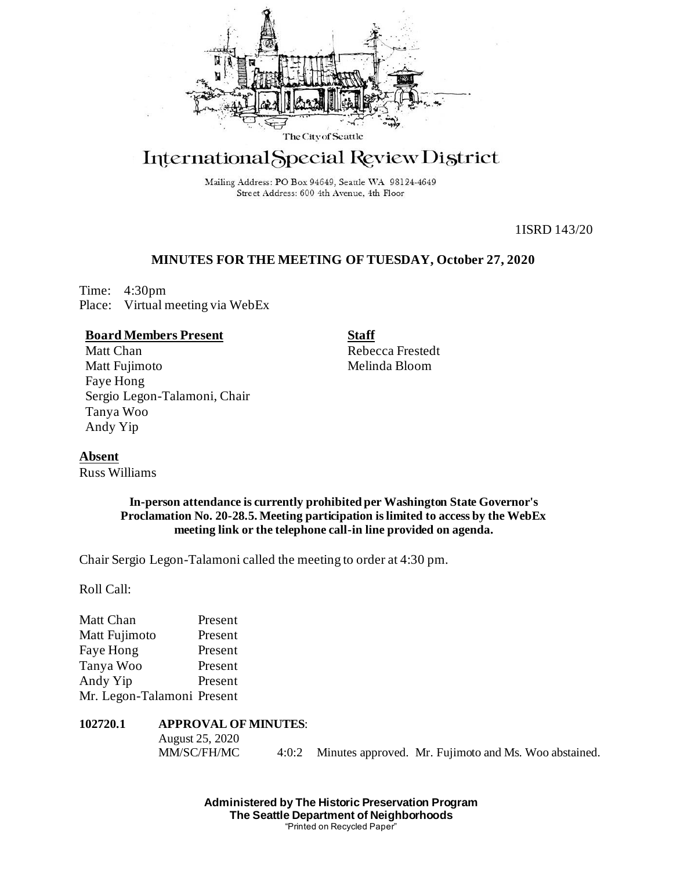

# International Special Review District

Mailing Address: PO Box 94649, Seattle WA 98124-4649 Street Address: 600 4th Avenue, 4th Floor

1ISRD 143/20

## **MINUTES FOR THE MEETING OF TUESDAY, October 27, 2020**

Time: 4:30pm Place: Virtual meeting via WebEx

## **Board Members Present**

Matt Chan Matt Fujimoto Faye Hong Sergio Legon-Talamoni, Chair Tanya Woo Andy Yip

**Staff** Rebecca Frestedt Melinda Bloom

**Absent**

Russ Williams

## **In-person attendance is currently prohibited per Washington State Governor's Proclamation No. 20-28.5. Meeting participation is limited to access by the WebEx meeting link or the telephone call-in line provided on agenda.**

Chair Sergio Legon-Talamoni called the meeting to order at 4:30 pm.

Roll Call:

| Matt Chan                  | Present |
|----------------------------|---------|
| Matt Fujimoto              | Present |
| Faye Hong                  | Present |
| Tanya Woo                  | Present |
| Andy Yip                   | Present |
| Mr. Legon-Talamoni Present |         |
|                            |         |

## **102720.1 APPROVAL OF MINUTES**:

August 25, 2020

MM/SC/FH/MC 4:0:2 Minutes approved. Mr. Fujimoto and Ms. Woo abstained.

**Administered by The Historic Preservation Program The Seattle Department of Neighborhoods** "Printed on Recycled Paper"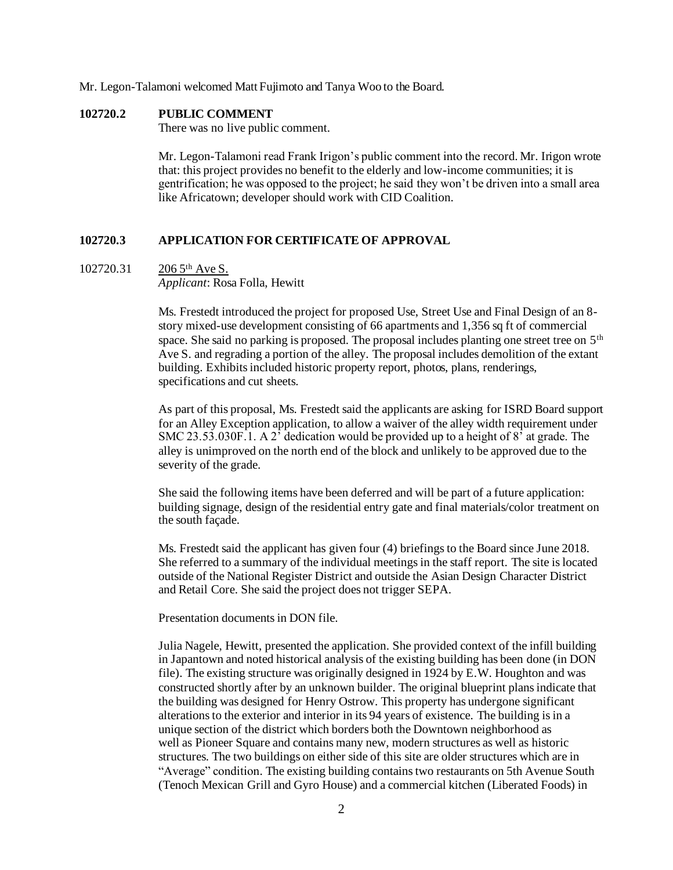Mr. Legon-Talamoni welcomed Matt Fujimoto and Tanya Woo to the Board.

#### **102720.2 PUBLIC COMMENT**

There was no live public comment.

Mr. Legon-Talamoni read Frank Irigon's public comment into the record. Mr. Irigon wrote that: this project provides no benefit to the elderly and low-income communities; it is gentrification; he was opposed to the project; he said they won't be driven into a small area like Africatown; developer should work with CID Coalition.

#### **102720.3 APPLICATION FOR CERTIFICATE OF APPROVAL**

## 102720.31 206 5<sup>th</sup> Ave S.

*Applicant*: Rosa Folla, Hewitt

Ms. Frestedt introduced the project for proposed Use, Street Use and Final Design of an 8 story mixed-use development consisting of 66 apartments and 1,356 sq ft of commercial space. She said no parking is proposed. The proposal includes planting one street tree on 5<sup>th</sup> Ave S. and regrading a portion of the alley. The proposal includes demolition of the extant building. Exhibits included historic property report, photos, plans, renderings, specifications and cut sheets.

As part of this proposal, Ms. Frestedt said the applicants are asking for ISRD Board support for an Alley Exception application, to allow a waiver of the alley width requirement under SMC 23.53.030F.1. A 2<sup>7</sup> dedication would be provided up to a height of  $8<sup>7</sup>$  at grade. The alley is unimproved on the north end of the block and unlikely to be approved due to the severity of the grade.

She said the following items have been deferred and will be part of a future application: building signage, design of the residential entry gate and final materials/color treatment on the south façade.

Ms. Frestedt said the applicant has given four (4) briefings to the Board since June 2018. She referred to a summary of the individual meetings in the staff report. The site is located outside of the National Register District and outside the Asian Design Character District and Retail Core. She said the project does not trigger SEPA.

Presentation documents in DON file.

Julia Nagele, Hewitt, presented the application. She provided context of the infill building in Japantown and noted historical analysis of the existing building has been done (in DON file). The existing structure was originally designed in 1924 by E.W. Houghton and was constructed shortly after by an unknown builder. The original blueprint plans indicate that the building was designed for Henry Ostrow. This property has undergone significant alterations to the exterior and interior in its 94 years of existence. The building is in a unique section of the district which borders both the Downtown neighborhood as well as Pioneer Square and contains many new, modern structures as well as historic structures. The two buildings on either side of this site are older structures which are in "Average" condition. The existing building contains two restaurants on 5th Avenue South (Tenoch Mexican Grill and Gyro House) and a commercial kitchen (Liberated Foods) in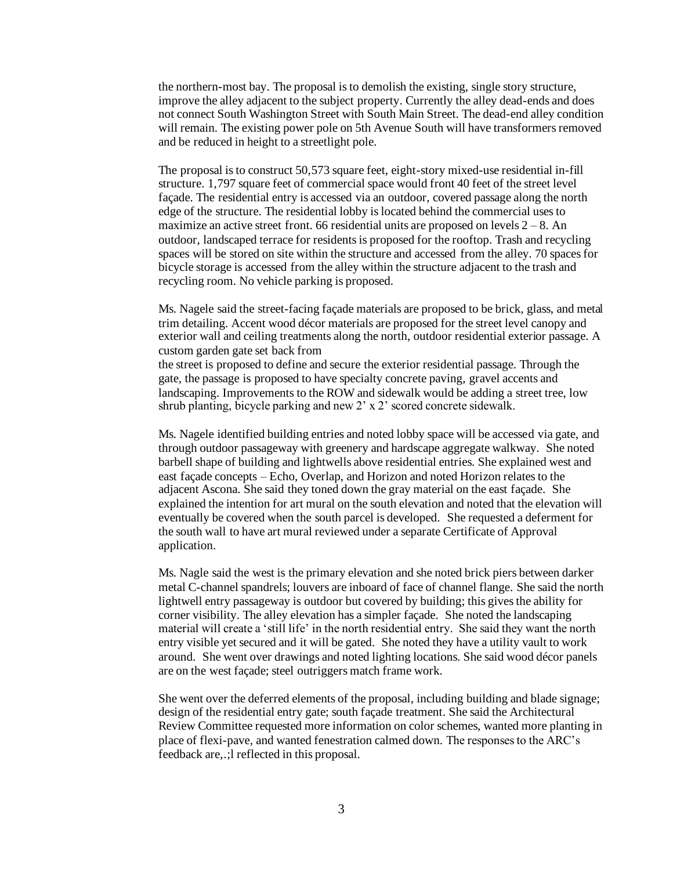the northern-most bay. The proposal is to demolish the existing, single story structure, improve the alley adjacent to the subject property. Currently the alley dead-ends and does not connect South Washington Street with South Main Street. The dead-end alley condition will remain. The existing power pole on 5th Avenue South will have transformers removed and be reduced in height to a streetlight pole.

The proposal is to construct 50,573 square feet, eight-story mixed-use residential in-fill structure. 1,797 square feet of commercial space would front 40 feet of the street level façade. The residential entry is accessed via an outdoor, covered passage along the north edge of the structure. The residential lobby is located behind the commercial uses to maximize an active street front. 66 residential units are proposed on levels  $2 - 8$ . An outdoor, landscaped terrace for residents is proposed for the rooftop. Trash and recycling spaces will be stored on site within the structure and accessed from the alley. 70 spaces for bicycle storage is accessed from the alley within the structure adjacent to the trash and recycling room. No vehicle parking is proposed.

Ms. Nagele said the street-facing façade materials are proposed to be brick, glass, and metal trim detailing. Accent wood décor materials are proposed for the street level canopy and exterior wall and ceiling treatments along the north, outdoor residential exterior passage. A custom garden gate set back from

the street is proposed to define and secure the exterior residential passage. Through the gate, the passage is proposed to have specialty concrete paving, gravel accents and landscaping. Improvements to the ROW and sidewalk would be adding a street tree, low shrub planting, bicycle parking and new 2' x 2' scored concrete sidewalk.

Ms. Nagele identified building entries and noted lobby space will be accessed via gate, and through outdoor passageway with greenery and hardscape aggregate walkway. She noted barbell shape of building and lightwells above residential entries. She explained west and east façade concepts – Echo, Overlap, and Horizon and noted Horizon relates to the adjacent Ascona. She said they toned down the gray material on the east façade. She explained the intention for art mural on the south elevation and noted that the elevation will eventually be covered when the south parcel is developed. She requested a deferment for the south wall to have art mural reviewed under a separate Certificate of Approval application.

Ms. Nagle said the west is the primary elevation and she noted brick piers between darker metal C-channel spandrels; louvers are inboard of face of channel flange. She said the north lightwell entry passageway is outdoor but covered by building; this gives the ability for corner visibility. The alley elevation has a simpler façade. She noted the landscaping material will create a 'still life' in the north residential entry. She said they want the north entry visible yet secured and it will be gated. She noted they have a utility vault to work around. She went over drawings and noted lighting locations. She said wood décor panels are on the west façade; steel outriggers match frame work.

She went over the deferred elements of the proposal, including building and blade signage; design of the residential entry gate; south façade treatment. She said the Architectural Review Committee requested more information on color schemes, wanted more planting in place of flexi-pave, and wanted fenestration calmed down. The responses to the ARC's feedback are,.;l reflected in this proposal.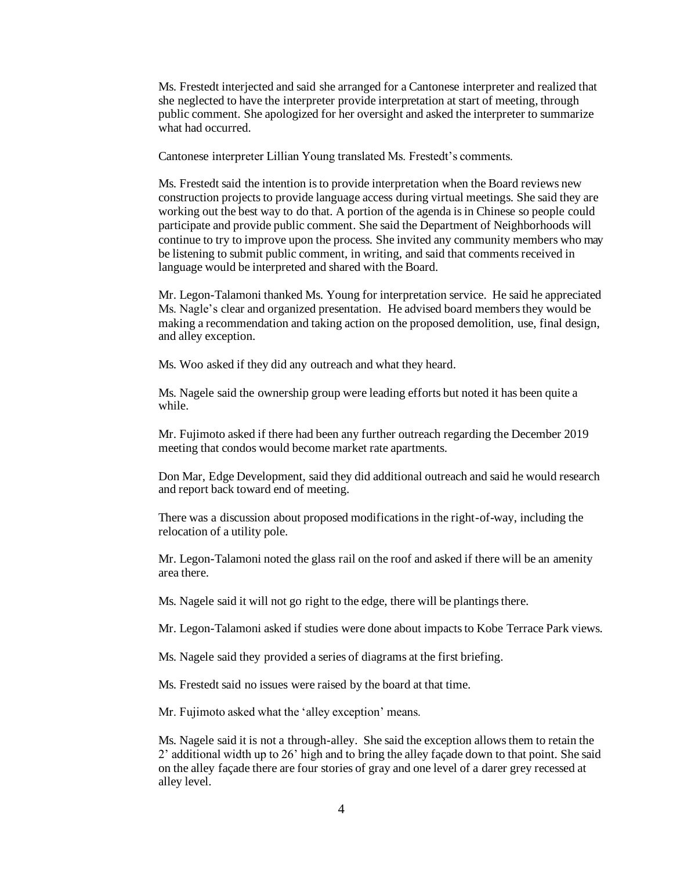Ms. Frestedt interjected and said she arranged for a Cantonese interpreter and realized that she neglected to have the interpreter provide interpretation at start of meeting, through public comment. She apologized for her oversight and asked the interpreter to summarize what had occurred.

Cantonese interpreter Lillian Young translated Ms. Frestedt's comments.

Ms. Frestedt said the intention is to provide interpretation when the Board reviews new construction projects to provide language access during virtual meetings. She said they are working out the best way to do that. A portion of the agenda is in Chinese so people could participate and provide public comment. She said the Department of Neighborhoods will continue to try to improve upon the process. She invited any community members who may be listening to submit public comment, in writing, and said that comments received in language would be interpreted and shared with the Board.

Mr. Legon-Talamoni thanked Ms. Young for interpretation service. He said he appreciated Ms. Nagle's clear and organized presentation. He advised board members they would be making a recommendation and taking action on the proposed demolition, use, final design, and alley exception.

Ms. Woo asked if they did any outreach and what they heard.

Ms. Nagele said the ownership group were leading efforts but noted it has been quite a while.

Mr. Fujimoto asked if there had been any further outreach regarding the December 2019 meeting that condos would become market rate apartments.

Don Mar, Edge Development, said they did additional outreach and said he would research and report back toward end of meeting.

There was a discussion about proposed modifications in the right-of-way, including the relocation of a utility pole.

Mr. Legon-Talamoni noted the glass rail on the roof and asked if there will be an amenity area there.

Ms. Nagele said it will not go right to the edge, there will be plantings there.

Mr. Legon-Talamoni asked if studies were done about impacts to Kobe Terrace Park views.

Ms. Nagele said they provided a series of diagrams at the first briefing.

Ms. Frestedt said no issues were raised by the board at that time.

Mr. Fujimoto asked what the 'alley exception' means.

Ms. Nagele said it is not a through-alley. She said the exception allows them to retain the 2' additional width up to 26' high and to bring the alley façade down to that point. She said on the alley façade there are four stories of gray and one level of a darer grey recessed at alley level.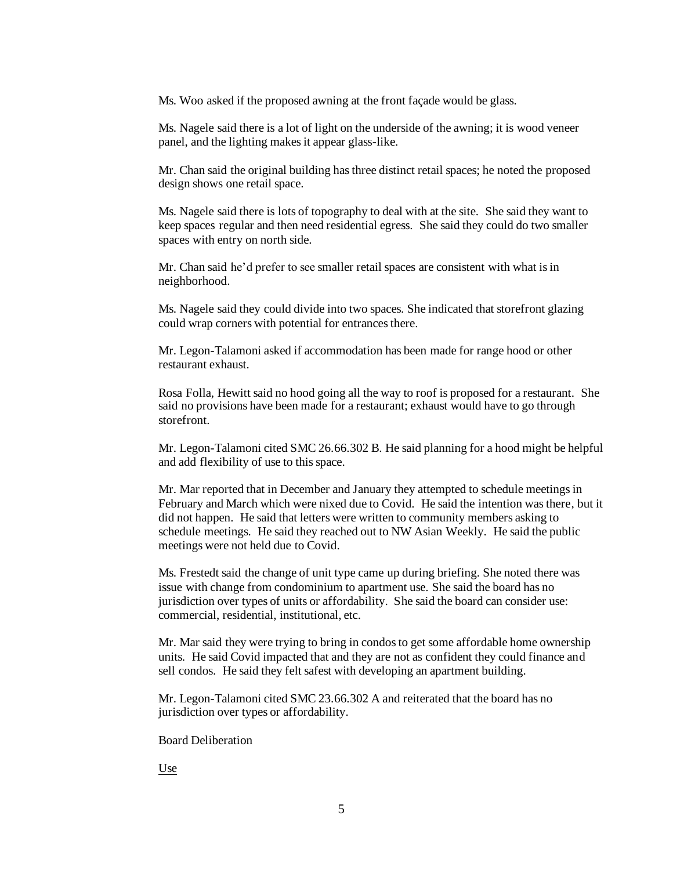Ms. Woo asked if the proposed awning at the front façade would be glass.

Ms. Nagele said there is a lot of light on the underside of the awning; it is wood veneer panel, and the lighting makes it appear glass-like.

Mr. Chan said the original building has three distinct retail spaces; he noted the proposed design shows one retail space.

Ms. Nagele said there is lots of topography to deal with at the site. She said they want to keep spaces regular and then need residential egress. She said they could do two smaller spaces with entry on north side.

Mr. Chan said he'd prefer to see smaller retail spaces are consistent with what is in neighborhood.

Ms. Nagele said they could divide into two spaces. She indicated that storefront glazing could wrap corners with potential for entrances there.

Mr. Legon-Talamoni asked if accommodation has been made for range hood or other restaurant exhaust.

Rosa Folla, Hewitt said no hood going all the way to roof is proposed for a restaurant. She said no provisions have been made for a restaurant; exhaust would have to go through storefront.

Mr. Legon-Talamoni cited SMC 26.66.302 B. He said planning for a hood might be helpful and add flexibility of use to this space.

Mr. Mar reported that in December and January they attempted to schedule meetings in February and March which were nixed due to Covid. He said the intention was there, but it did not happen. He said that letters were written to community members asking to schedule meetings. He said they reached out to NW Asian Weekly. He said the public meetings were not held due to Covid.

Ms. Frestedt said the change of unit type came up during briefing. She noted there was issue with change from condominium to apartment use. She said the board has no jurisdiction over types of units or affordability. She said the board can consider use: commercial, residential, institutional, etc.

Mr. Mar said they were trying to bring in condos to get some affordable home ownership units. He said Covid impacted that and they are not as confident they could finance and sell condos. He said they felt safest with developing an apartment building.

Mr. Legon-Talamoni cited SMC 23.66.302 A and reiterated that the board has no jurisdiction over types or affordability.

Board Deliberation

Use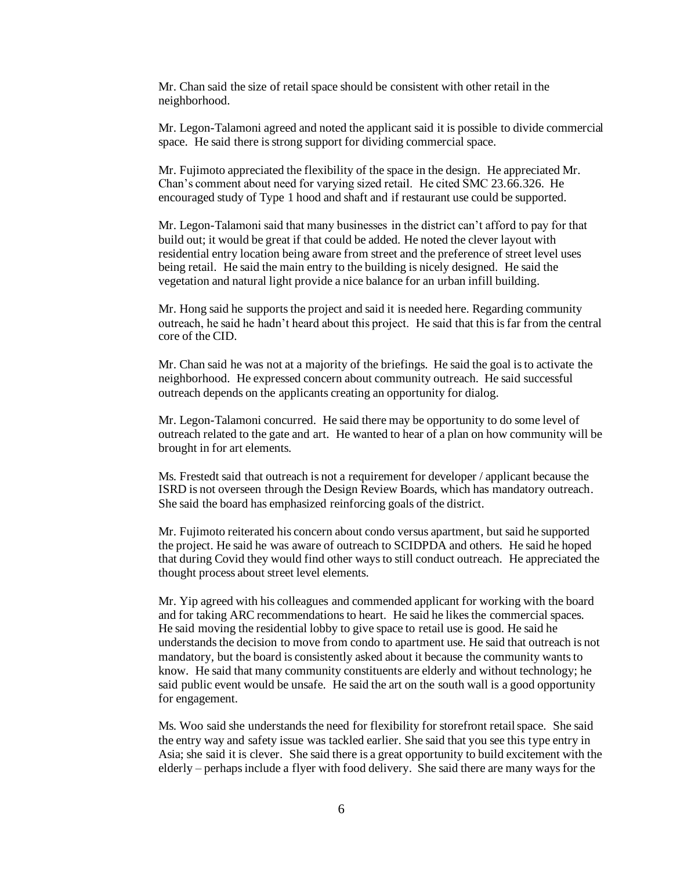Mr. Chan said the size of retail space should be consistent with other retail in the neighborhood.

Mr. Legon-Talamoni agreed and noted the applicant said it is possible to divide commercial space. He said there is strong support for dividing commercial space.

Mr. Fujimoto appreciated the flexibility of the space in the design. He appreciated Mr. Chan's comment about need for varying sized retail. He cited SMC 23.66.326. He encouraged study of Type 1 hood and shaft and if restaurant use could be supported.

Mr. Legon-Talamoni said that many businesses in the district can't afford to pay for that build out; it would be great if that could be added. He noted the clever layout with residential entry location being aware from street and the preference of street level uses being retail. He said the main entry to the building is nicely designed. He said the vegetation and natural light provide a nice balance for an urban infill building.

Mr. Hong said he supports the project and said it is needed here. Regarding community outreach, he said he hadn't heard about this project. He said that this is far from the central core of the CID.

Mr. Chan said he was not at a majority of the briefings. He said the goal is to activate the neighborhood. He expressed concern about community outreach. He said successful outreach depends on the applicants creating an opportunity for dialog.

Mr. Legon-Talamoni concurred. He said there may be opportunity to do some level of outreach related to the gate and art. He wanted to hear of a plan on how community will be brought in for art elements.

Ms. Frestedt said that outreach is not a requirement for developer / applicant because the ISRD is not overseen through the Design Review Boards, which has mandatory outreach. She said the board has emphasized reinforcing goals of the district.

Mr. Fujimoto reiterated his concern about condo versus apartment, but said he supported the project. He said he was aware of outreach to SCIDPDA and others. He said he hoped that during Covid they would find other ways to still conduct outreach. He appreciated the thought process about street level elements.

Mr. Yip agreed with his colleagues and commended applicant for working with the board and for taking ARC recommendations to heart. He said he likes the commercial spaces. He said moving the residential lobby to give space to retail use is good. He said he understands the decision to move from condo to apartment use. He said that outreach is not mandatory, but the board is consistently asked about it because the community wants to know. He said that many community constituents are elderly and without technology; he said public event would be unsafe. He said the art on the south wall is a good opportunity for engagement.

Ms. Woo said she understands the need for flexibility for storefront retail space. She said the entry way and safety issue was tackled earlier. She said that you see this type entry in Asia; she said it is clever. She said there is a great opportunity to build excitement with the elderly – perhaps include a flyer with food delivery. She said there are many ways for the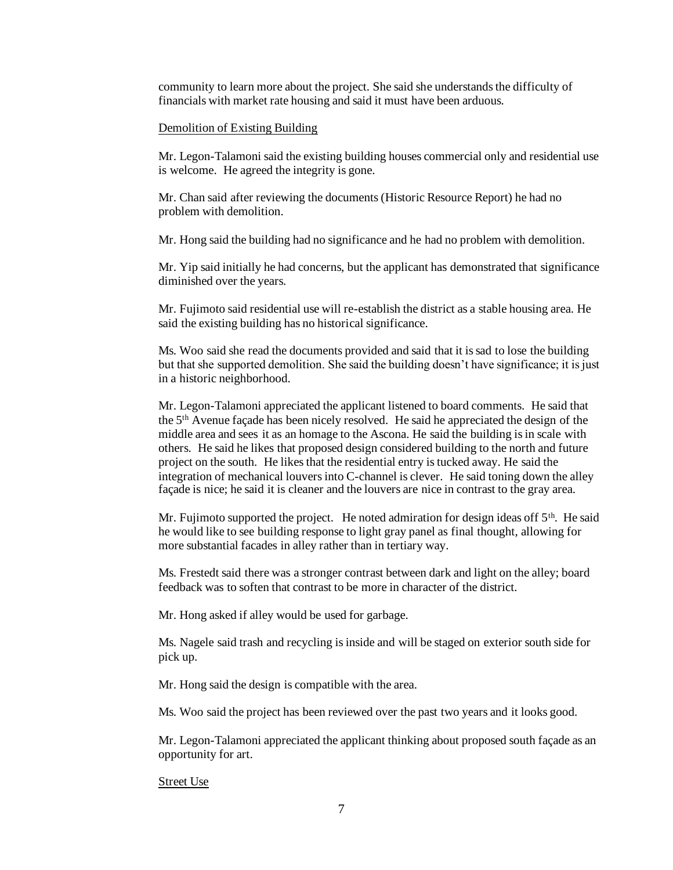community to learn more about the project. She said she understands the difficulty of financials with market rate housing and said it must have been arduous.

#### Demolition of Existing Building

Mr. Legon-Talamoni said the existing building houses commercial only and residential use is welcome. He agreed the integrity is gone.

Mr. Chan said after reviewing the documents (Historic Resource Report) he had no problem with demolition.

Mr. Hong said the building had no significance and he had no problem with demolition.

Mr. Yip said initially he had concerns, but the applicant has demonstrated that significance diminished over the years.

Mr. Fujimoto said residential use will re-establish the district as a stable housing area. He said the existing building has no historical significance.

Ms. Woo said she read the documents provided and said that it is sad to lose the building but that she supported demolition. She said the building doesn't have significance; it is just in a historic neighborhood.

Mr. Legon-Talamoni appreciated the applicant listened to board comments. He said that the 5th Avenue façade has been nicely resolved. He said he appreciated the design of the middle area and sees it as an homage to the Ascona. He said the building is in scale with others. He said he likes that proposed design considered building to the north and future project on the south. He likes that the residential entry is tucked away. He said the integration of mechanical louvers into C-channel is clever. He said toning down the alley façade is nice; he said it is cleaner and the louvers are nice in contrast to the gray area.

Mr. Fujimoto supported the project. He noted admiration for design ideas off  $5<sup>th</sup>$ . He said he would like to see building response to light gray panel as final thought, allowing for more substantial facades in alley rather than in tertiary way.

Ms. Frestedt said there was a stronger contrast between dark and light on the alley; board feedback was to soften that contrast to be more in character of the district.

Mr. Hong asked if alley would be used for garbage.

Ms. Nagele said trash and recycling is inside and will be staged on exterior south side for pick up.

Mr. Hong said the design is compatible with the area.

Ms. Woo said the project has been reviewed over the past two years and it looks good.

Mr. Legon-Talamoni appreciated the applicant thinking about proposed south façade as an opportunity for art.

#### Street Use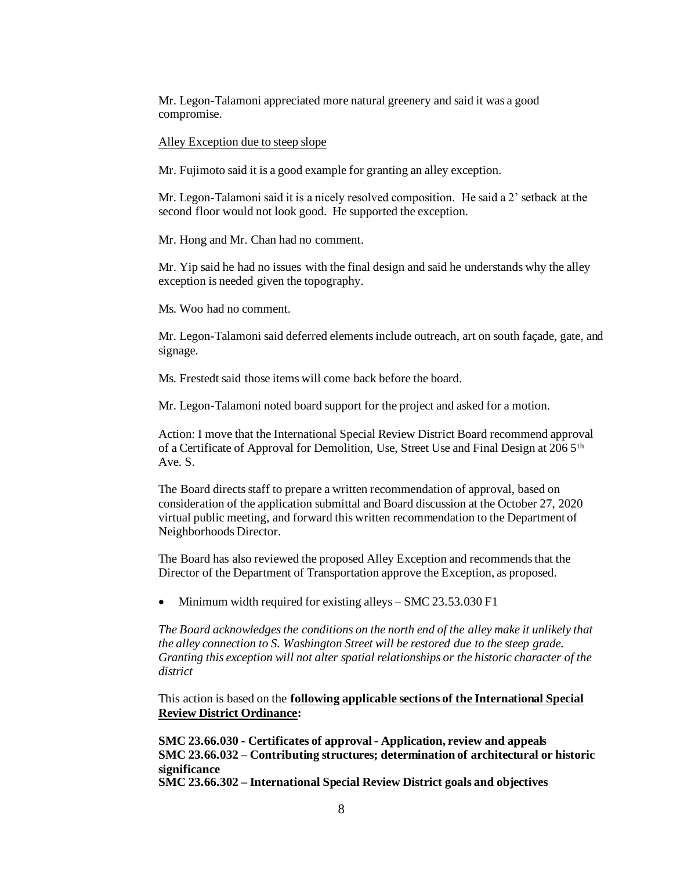Mr. Legon-Talamoni appreciated more natural greenery and said it was a good compromise.

#### Alley Exception due to steep slope

Mr. Fujimoto said it is a good example for granting an alley exception.

Mr. Legon-Talamoni said it is a nicely resolved composition. He said a 2' setback at the second floor would not look good. He supported the exception.

Mr. Hong and Mr. Chan had no comment.

Mr. Yip said he had no issues with the final design and said he understands why the alley exception is needed given the topography.

Ms. Woo had no comment.

Mr. Legon-Talamoni said deferred elements include outreach, art on south façade, gate, and signage.

Ms. Frestedt said those items will come back before the board.

Mr. Legon-Talamoni noted board support for the project and asked for a motion.

Action: I move that the International Special Review District Board recommend approval of a Certificate of Approval for Demolition, Use, Street Use and Final Design at 206 5th Ave. S.

The Board directs staff to prepare a written recommendation of approval, based on consideration of the application submittal and Board discussion at the October 27, 2020 virtual public meeting, and forward this written recommendation to the Department of Neighborhoods Director.

The Board has also reviewed the proposed Alley Exception and recommends that the Director of the Department of Transportation approve the Exception, as proposed.

• Minimum width required for existing alleys – SMC 23.53.030 F1

*The Board acknowledges the conditions on the north end of the alley make it unlikely that the alley connection to S. Washington Street will be restored due to the steep grade. Granting this exception will not alter spatial relationships or the historic character of the district* 

This action is based on the **following applicable sections of the International Special Review District Ordinance:** 

**SMC 23.66.030 - Certificates of approval - Application, review and appeals SMC 23.66.032 – Contributing structures; determination of architectural or historic significance SMC 23.66.302 – International Special Review District goals and objectives**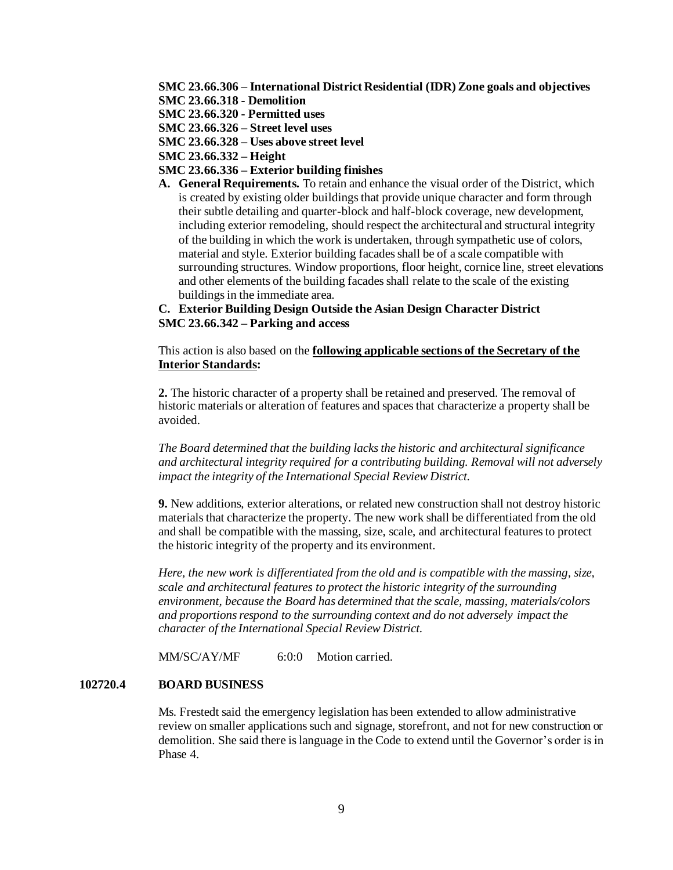**SMC 23.66.306 – International District Residential (IDR) Zone goals and objectives**

- **SMC 23.66.318 - Demolition**
- **SMC 23.66.320 - Permitted uses**
- **SMC 23.66.326 – Street level uses**
- **SMC 23.66.328 – Uses above street level**
- **SMC 23.66.332 – Height**
- **SMC 23.66.336 – Exterior building finishes**
- **A. General Requirements.** To retain and enhance the visual order of the District, which is created by existing older buildings that provide unique character and form through their subtle detailing and quarter-block and half-block coverage, new development, including exterior remodeling, should respect the architectural and structural integrity of the building in which the work is undertaken, through sympathetic use of colors, material and style. Exterior building facades shall be of a scale compatible with surrounding structures. Window proportions, floor height, cornice line, street elevations and other elements of the building facades shall relate to the scale of the existing buildings in the immediate area.

**C. Exterior Building Design Outside the Asian Design Character District SMC 23.66.342 – Parking and access**

This action is also based on the **following applicable sections of the Secretary of the Interior Standards:**

**2.** The historic character of a property shall be retained and preserved. The removal of historic materials or alteration of features and spaces that characterize a property shall be avoided.

*The Board determined that the building lacks the historic and architectural significance and architectural integrity required for a contributing building. Removal will not adversely impact the integrity of the International Special Review District.* 

**9.** New additions, exterior alterations, or related new construction shall not destroy historic materials that characterize the property. The new work shall be differentiated from the old and shall be compatible with the massing, size, scale, and architectural features to protect the historic integrity of the property and its environment.

*Here, the new work is differentiated from the old and is compatible with the massing, size, scale and architectural features to protect the historic integrity of the surrounding environment, because the Board has determined that the scale, massing, materials/colors and proportions respond to the surrounding context and do not adversely impact the character of the International Special Review District.* 

MM/SC/AY/MF 6:0:0 Motion carried.

#### **102720.4 BOARD BUSINESS**

Ms. Frestedt said the emergency legislation has been extended to allow administrative review on smaller applications such and signage, storefront, and not for new construction or demolition. She said there is language in the Code to extend until the Governor's order is in Phase 4.